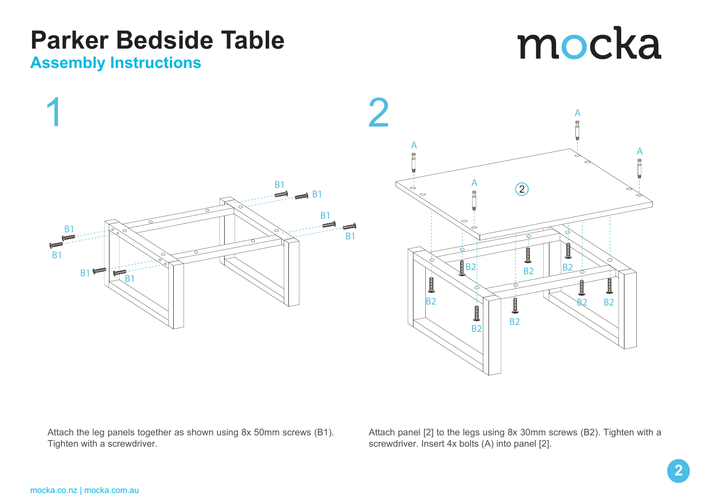### **Parker Bedside Table Assembly Instructions**

# mocka





Attach the leg panels together as shown using 8x 50mm screws (B1). Tighten with a screwdriver.

Attach panel [2] to the legs using 8x 30mm screws (B2). Tighten with a screwdriver. Insert 4x bolts (A) into panel [2].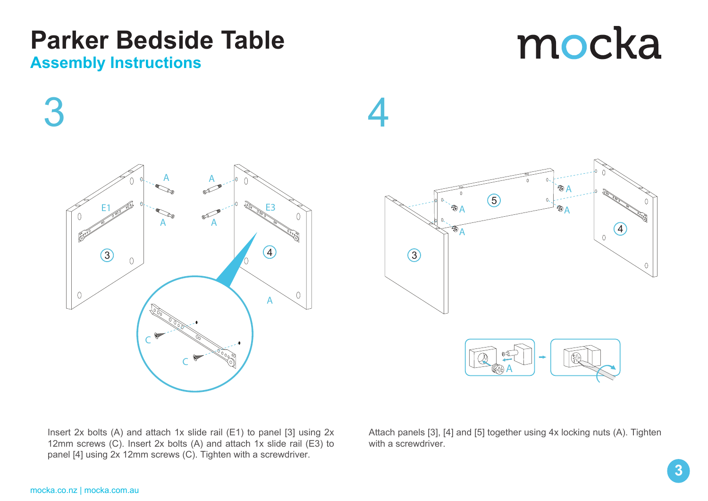Attach panels [3], [4] and [5] together using 4x locking nuts (A). Tighten with a screwdriver

## **Parker Bedside Table**

#### **Assembly Instructions**

 $3 \hspace{2.5cm} 4$ 



Insert 2x bolts (A) and attach 1x slide rail (E1) to panel [3] using 2x 12mm screws (C). Insert 2x bolts (A) and attach 1x slide rail (E3) to panel [4] using 2x 12mm screws (C). Tighten with a screwdriver.



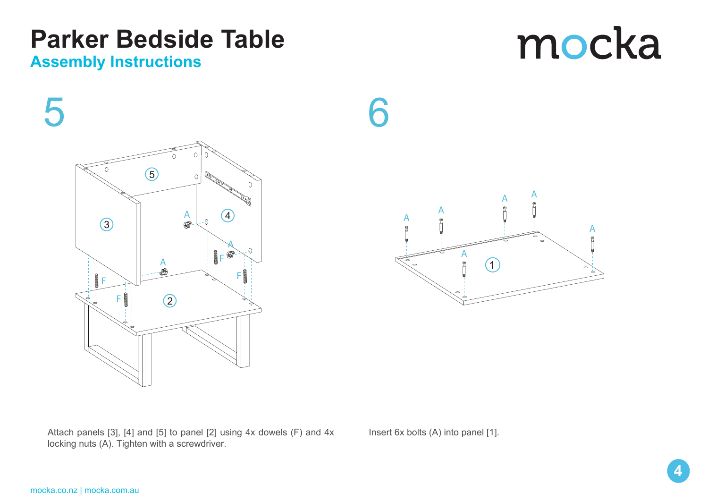### **Parker Bedside Table**

 $\circledS$ 

 $\circled{2}$ 

 $F$   $\overline{F}$   $\overline{F}$ 

A

 $A$ 

#### **Assembly Instructions**

 $\odot$ 

F

Attach panels [3], [4] and [5] to panel [2] using 4x dowels (F) and 4x locking nuts (A). Tighten with a screwdriver.

 $\left( 4\right)$ 

A

F

Insert 6x bolts (A) into panel [1].





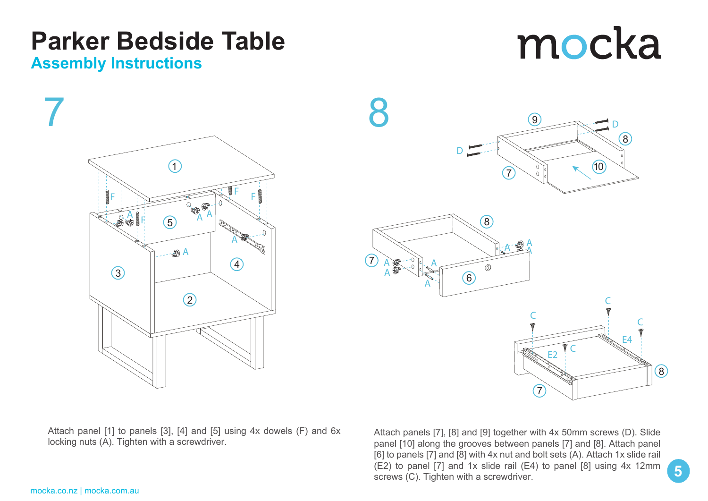Attach panel [1] to panels [3], [4] and [5] using 4x dowels (F) and 6x

Attach panels [7], [8] and [9] together with 4x 50mm screws (D). Slide panel [10] along the grooves between panels [7] and [8]. Attach panel [6] to panels [7] and [8] with 4x nut and bolt sets (A). Attach 1x slide rail (E2) to panel [7] and 1x slide rail (E4) to panel [8] using 4x 12mm screws (C). Tighten with a screwdriver.



**Tarner Deusiue**<br>Assembly Instructions

7

**ASSEMBLY INSTRUCTIONS**

**Parker Bedside Table**



# mocka

**5**

**5**